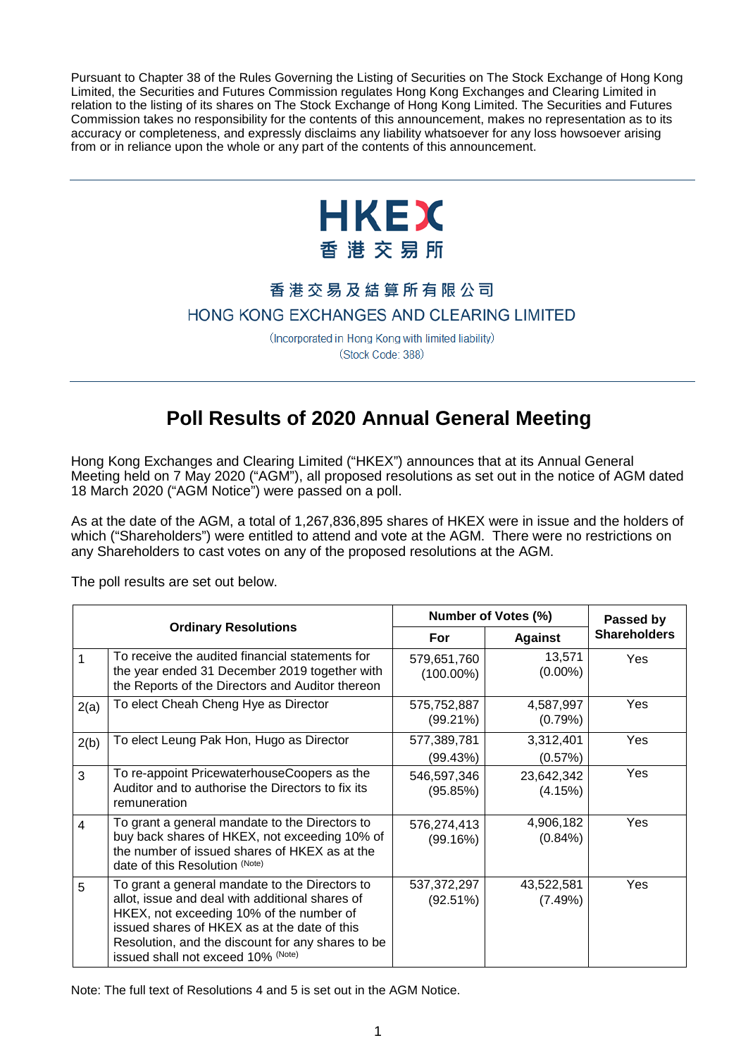Pursuant to Chapter 38 of the Rules Governing the Listing of Securities on The Stock Exchange of Hong Kong Limited, the Securities and Futures Commission regulates Hong Kong Exchanges and Clearing Limited in relation to the listing of its shares on The Stock Exchange of Hong Kong Limited. The Securities and Futures Commission takes no responsibility for the contents of this announcement, makes no representation as to its accuracy or completeness, and expressly disclaims any liability whatsoever for any loss howsoever arising from or in reliance upon the whole or any part of the contents of this announcement.



## 香港交易及結算所有限公司

## HONG KONG EXCHANGES AND CLEARING LIMITED

(Incorporated in Hong Kong with limited liability) (Stock Code: 388)

## **Poll Results of 2020 Annual General Meeting**

Hong Kong Exchanges and Clearing Limited ("HKEX") announces that at its Annual General Meeting held on 7 May 2020 ("AGM"), all proposed resolutions as set out in the notice of AGM dated 18 March 2020 ("AGM Notice") were passed on a poll.

As at the date of the AGM, a total of 1,267,836,895 shares of HKEX were in issue and the holders of which ("Shareholders") were entitled to attend and vote at the AGM. There were no restrictions on any Shareholders to cast votes on any of the proposed resolutions at the AGM.

The poll results are set out below.

| <b>Ordinary Resolutions</b> |                                                                                                                                                                                                                                                                                          | Number of Votes (%)         |                         | Passed by           |
|-----------------------------|------------------------------------------------------------------------------------------------------------------------------------------------------------------------------------------------------------------------------------------------------------------------------------------|-----------------------------|-------------------------|---------------------|
|                             |                                                                                                                                                                                                                                                                                          | For                         | <b>Against</b>          | <b>Shareholders</b> |
| 1                           | To receive the audited financial statements for<br>the year ended 31 December 2019 together with<br>the Reports of the Directors and Auditor thereon                                                                                                                                     | 579,651,760<br>$(100.00\%)$ | 13,571<br>$(0.00\%)$    | Yes                 |
| 2(a)                        | To elect Cheah Cheng Hye as Director                                                                                                                                                                                                                                                     | 575,752,887<br>$(99.21\%)$  | 4,587,997<br>(0.79%)    | Yes                 |
| 2(b)                        | To elect Leung Pak Hon, Hugo as Director                                                                                                                                                                                                                                                 | 577,389,781<br>(99.43%)     | 3,312,401<br>(0.57%)    | Yes                 |
| 3                           | To re-appoint PricewaterhouseCoopers as the<br>Auditor and to authorise the Directors to fix its<br>remuneration                                                                                                                                                                         | 546,597,346<br>(95.85%)     | 23,642,342<br>(4.15%)   | Yes                 |
| $\overline{\mathbf{4}}$     | To grant a general mandate to the Directors to<br>buy back shares of HKEX, not exceeding 10% of<br>the number of issued shares of HKEX as at the<br>date of this Resolution (Note)                                                                                                       | 576,274,413<br>(99.16%)     | 4,906,182<br>$(0.84\%)$ | Yes                 |
| 5                           | To grant a general mandate to the Directors to<br>allot, issue and deal with additional shares of<br>HKEX, not exceeding 10% of the number of<br>issued shares of HKEX as at the date of this<br>Resolution, and the discount for any shares to be<br>issued shall not exceed 10% (Note) | 537,372,297<br>(92.51%)     | 43,522,581<br>(7.49%)   | Yes                 |

Note: The full text of Resolutions 4 and 5 is set out in the AGM Notice.